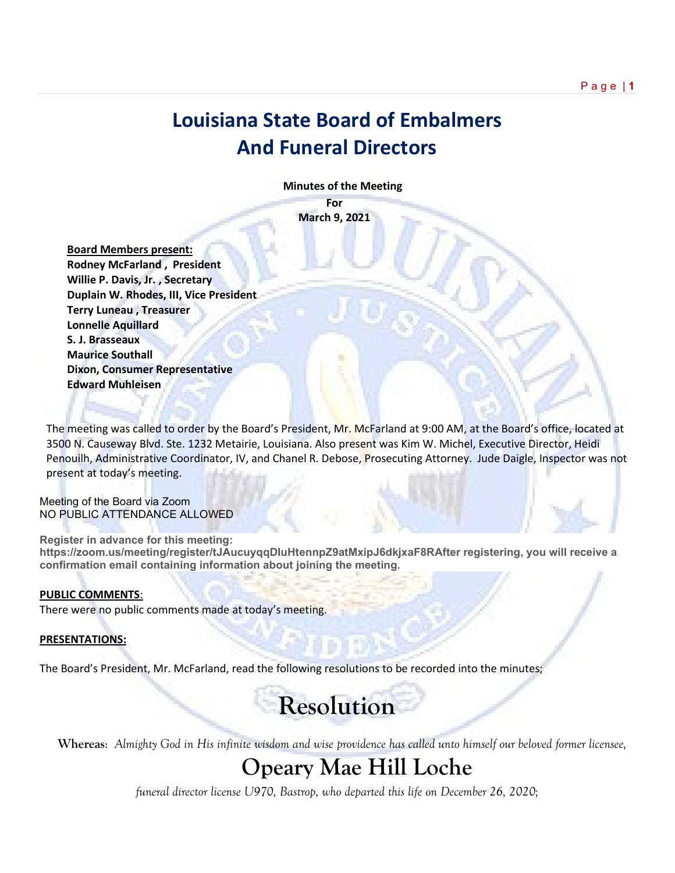## **Louisiana State Board of Embalmers And Funeral Directors**

 **Minutes of the Meeting**

**For March 9, 2021**

 **Board Members present: Rodney McFarland , President Willie P. Davis, Jr. , Secretary Duplain W. Rhodes, III, Vice President Terry Luneau , Treasurer Lonnelle Aquillard S. J. Brasseaux Maurice Southall Dixon, Consumer Representative Edward Muhleisen**

The meeting was called to order by the Board's President, Mr. McFarland at 9:00 AM, at the Board's office, located at 3500 N. Causeway Blvd. Ste. 1232 Metairie, Louisiana. Also present was Kim W. Michel, Executive Director, Heidi Penouilh, Administrative Coordinator, IV, and Chanel R. Debose, Prosecuting Attorney. Jude Daigle, Inspector was not present at today's meeting.

Meeting of the Board via Zoom NO PUBLIC ATTENDANCE ALLOWED

**Register in advance for this meeting: https://zoom.us/meeting/register/tJAucuyqqDIuHtennpZ9atMxipJ6dkjxaF8RAfter registering, you will receive a confirmation email containing information about joining the meeting.**

#### **PUBLIC COMMENTS**:

There were no public comments made at today's meeting.

#### **PRESENTATIONS:**

The Board's President, Mr. McFarland, read the following resolutions to be recorded into the minutes;

# **Resolution**

**Whereas**: *Almighty God in His infinite wisdom and wise providence has called unto himself our beloved former licensee,*

## **Opeary Mae Hill Loche**

*funeral director license U970, Bastrop, who departed this life on December 26, 2020;*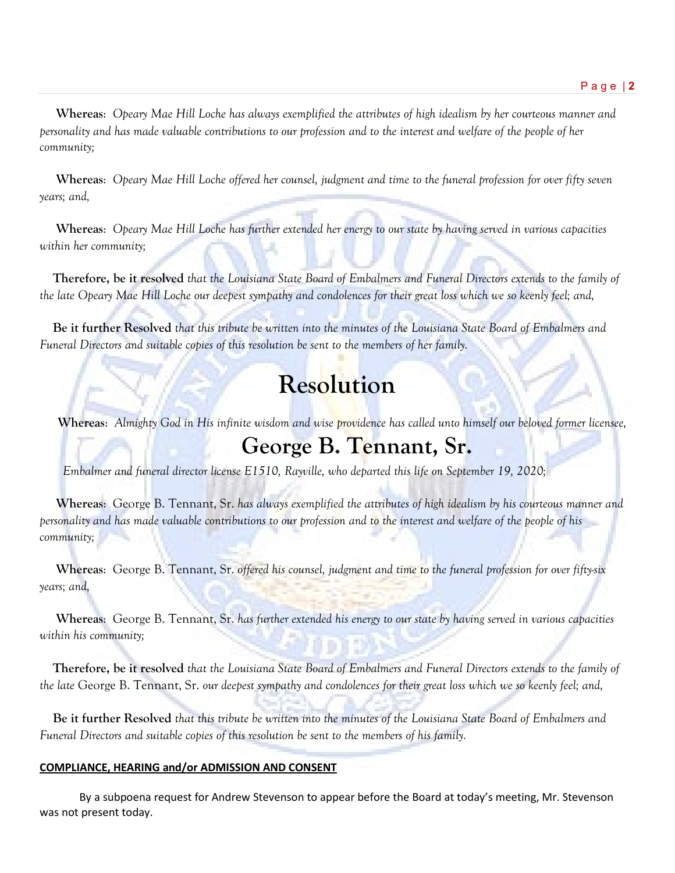**Whereas**: *Opeary Mae Hill Loche has always exemplified the attributes of high idealism by her courteous manner and personality and has made valuable contributions to our profession and to the interest and welfare of the people of her community;*

 **Whereas**: *Opeary Mae Hill Loche offered her counsel, judgment and time to the funeral profession for over fifty seven years; and,*

 **Whereas**: *Opeary Mae Hill Loche has further extended her energy to our state by having served in various capacities within her community;*

 **Therefore, be it resolved** *that the Louisiana State Board of Embalmers and Funeral Directors extends to the family of the late Opeary Mae Hill Loche our deepest sympathy and condolences for their great loss which we so keenly feel; and,* 

 **Be it further Resolved** *that this tribute be written into the minutes of the Louisiana State Board of Embalmers and Funeral Directors and suitable copies of this resolution be sent to the members of her family.*

# **Resolution**

**Whereas**: *Almighty God in His infinite wisdom and wise providence has called unto himself our beloved former licensee,*

## **George B. Tennant, Sr.**

 *Embalmer and funeral director license E1510, Rayville, who departed this life on September 19, 2020;*

 **Whereas**: George B. Tennant, Sr. *has always exemplified the attributes of high idealism by his courteous manner and personality and has made valuable contributions to our profession and to the interest and welfare of the people of his community;*

 **Whereas**: George B. Tennant, Sr. *offered his counsel, judgment and time to the funeral profession for over fifty-six years; and,*

 **Whereas**: George B. Tennant, Sr. *has further extended his energy to our state by having served in various capacities within his community;*

 **Therefore, be it resolved** *that the Louisiana State Board of Embalmers and Funeral Directors extends to the family of the late* George B. Tennant, Sr. *our deepest sympathy and condolences for their great loss which we so keenly feel; and,* 

 **Be it further Resolved** *that this tribute be written into the minutes of the Louisiana State Board of Embalmers and Funeral Directors and suitable copies of this resolution be sent to the members of his family.*

### **COMPLIANCE, HEARING and/or ADMISSION AND CONSENT**

By a subpoena request for Andrew Stevenson to appear before the Board at today's meeting, Mr. Stevenson was not present today.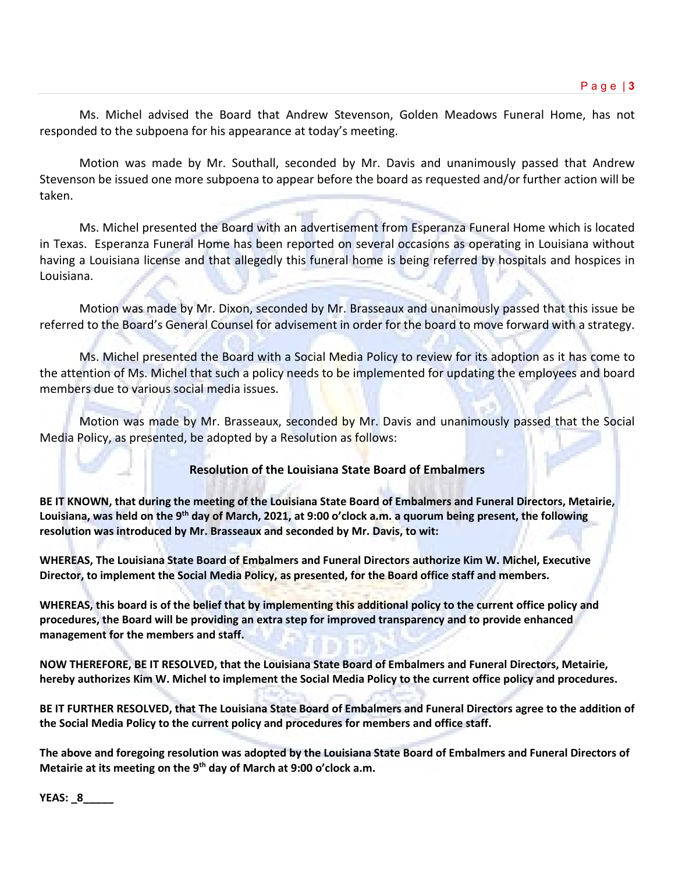Ms. Michel advised the Board that Andrew Stevenson, Golden Meadows Funeral Home, has not responded to the subpoena for his appearance at today's meeting.

Motion was made by Mr. Southall, seconded by Mr. Davis and unanimously passed that Andrew Stevenson be issued one more subpoena to appear before the board as requested and/or further action will be taken.

Ms. Michel presented the Board with an advertisement from Esperanza Funeral Home which is located in Texas. Esperanza Funeral Home has been reported on several occasions as operating in Louisiana without having a Louisiana license and that allegedly this funeral home is being referred by hospitals and hospices in Louisiana.

Motion was made by Mr. Dixon, seconded by Mr. Brasseaux and unanimously passed that this issue be referred to the Board's General Counsel for advisement in order for the board to move forward with a strategy.

Ms. Michel presented the Board with a Social Media Policy to review for its adoption as it has come to the attention of Ms. Michel that such a policy needs to be implemented for updating the employees and board members due to various social media issues.

Motion was made by Mr. Brasseaux, seconded by Mr. Davis and unanimously passed that the Social Media Policy, as presented, be adopted by a Resolution as follows:

### **Resolution of the Louisiana State Board of Embalmers**

**BE IT KNOWN, that during the meeting of the Louisiana State Board of Embalmers and Funeral Directors, Metairie, Louisiana, was held on the 9th day of March, 2021, at 9:00 o'clock a.m. a quorum being present, the following resolution was introduced by Mr. Brasseaux and seconded by Mr. Davis, to wit:**

**WHEREAS, The Louisiana State Board of Embalmers and Funeral Directors authorize Kim W. Michel, Executive Director, to implement the Social Media Policy, as presented, for the Board office staff and members.** 

**WHEREAS, this board is of the belief that by implementing this additional policy to the current office policy and procedures, the Board will be providing an extra step for improved transparency and to provide enhanced management for the members and staff.** 

**NOW THEREFORE, BE IT RESOLVED, that the Louisiana State Board of Embalmers and Funeral Directors, Metairie, hereby authorizes Kim W. Michel to implement the Social Media Policy to the current office policy and procedures.**

**BE IT FURTHER RESOLVED, that The Louisiana State Board of Embalmers and Funeral Directors agree to the addition of the Social Media Policy to the current policy and procedures for members and office staff.**

**The above and foregoing resolution was adopted by the Louisiana State Board of Embalmers and Funeral Directors of Metairie at its meeting on the 9th day of March at 9:00 o'clock a.m.**

**YEAS: \_8\_\_\_\_\_**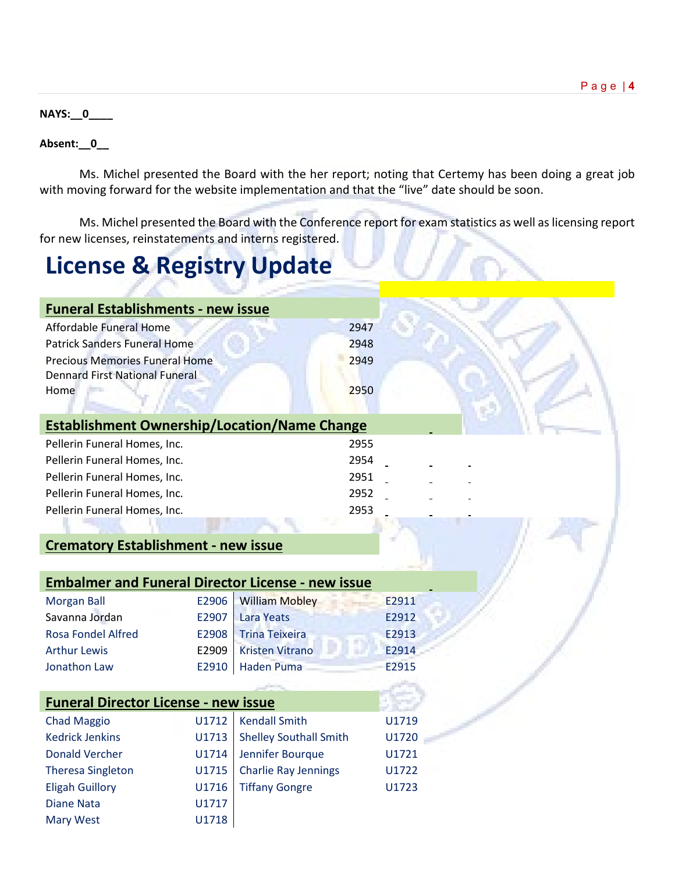#### **NAYS:\_\_0\_\_\_\_**

#### **Absent:\_\_0\_\_**

Ms. Michel presented the Board with the her report; noting that Certemy has been doing a great job with moving forward for the website implementation and that the "live" date should be soon.

Ms. Michel presented the Board with the Conference report for exam statistics as well as licensing report for new licenses, reinstatements and interns registered.

# **License & Registry Update**

| <b>Funeral Establishments - new issue</b>                |       |                               |      |       |
|----------------------------------------------------------|-------|-------------------------------|------|-------|
| <b>Affordable Funeral Home</b>                           |       |                               | 2947 |       |
| <b>Patrick Sanders Funeral Home</b><br>2948              |       |                               |      |       |
| <b>Precious Memories Funeral Home</b>                    |       |                               | 2949 |       |
| <b>Dennard First National Funeral</b>                    |       |                               |      |       |
| Home                                                     |       |                               | 2950 |       |
|                                                          |       |                               |      |       |
| <b>Establishment Ownership/Location/Name Change</b>      |       |                               |      |       |
| Pellerin Funeral Homes, Inc.                             |       |                               | 2955 |       |
| Pellerin Funeral Homes, Inc.                             |       |                               | 2954 |       |
| Pellerin Funeral Homes, Inc.                             |       |                               | 2951 |       |
| Pellerin Funeral Homes, Inc.                             |       |                               | 2952 |       |
| Pellerin Funeral Homes, Inc.                             |       |                               | 2953 |       |
|                                                          |       |                               |      |       |
| <b>Crematory Establishment - new issue</b>               |       |                               |      |       |
|                                                          |       |                               |      |       |
| <b>Embalmer and Funeral Director License - new issue</b> |       |                               |      |       |
| <b>Morgan Ball</b>                                       | E2906 | <b>William Mobley</b>         |      | E2911 |
| Savanna Jordan                                           | E2907 | <b>Lara Yeats</b>             |      | E2912 |
| <b>Rosa Fondel Alfred</b>                                | E2908 | <b>Trina Teixeira</b>         |      | E2913 |
| <b>Arthur Lewis</b>                                      | E2909 | <b>Kristen Vitrano</b>        |      | E2914 |
| Jonathon Law                                             | E2910 | <b>Haden Puma</b>             |      | E2915 |
|                                                          |       |                               |      |       |
| <b>Funeral Director License - new issue</b>              |       |                               |      |       |
| <b>Chad Maggio</b>                                       | U1712 | <b>Kendall Smith</b>          |      | U1719 |
| <b>Kedrick Jenkins</b>                                   | U1713 | <b>Shelley Southall Smith</b> |      | U1720 |
| <b>Donald Vercher</b>                                    | U1714 | Jennifer Bourque              |      | U1721 |
| <b>Theresa Singleton</b>                                 | U1715 | <b>Charlie Ray Jennings</b>   |      | U1722 |
| <b>Eligah Guillory</b>                                   | U1716 | <b>Tiffany Gongre</b>         |      | U1723 |
| <b>Diane Nata</b>                                        | U1717 |                               |      |       |
| <b>Mary West</b>                                         | U1718 |                               |      |       |
|                                                          |       |                               |      |       |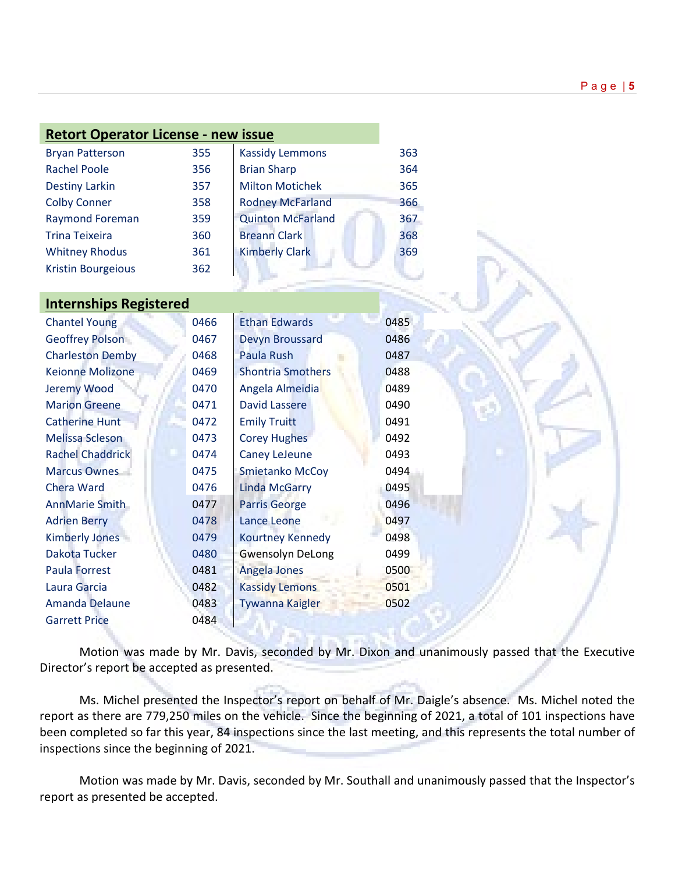| <b>Retort Operator License - new issue</b> |     |                          |  |  |  |
|--------------------------------------------|-----|--------------------------|--|--|--|
| <b>Bryan Patterson</b>                     | 355 | <b>Kassidy Lemmons</b>   |  |  |  |
| <b>Rachel Poole</b>                        | 356 | <b>Brian Sharp</b>       |  |  |  |
| <b>Destiny Larkin</b>                      | 357 | <b>Milton Motichek</b>   |  |  |  |
| <b>Colby Conner</b>                        | 358 | <b>Rodney McFarland</b>  |  |  |  |
| <b>Raymond Foreman</b>                     | 359 | <b>Quinton McFarland</b> |  |  |  |
| <b>Trina Teixeira</b>                      | 360 | <b>Breann Clark</b>      |  |  |  |
| <b>Whitney Rhodus</b>                      | 361 | <b>Kimberly Clark</b>    |  |  |  |
| <b>Kristin Bourgeious</b>                  | 362 |                          |  |  |  |
|                                            |     |                          |  |  |  |

### **Internships Registered**

| <b>Chantel Young</b>    | 0466 | <b>Ethan Edwards</b>     | 0485 |
|-------------------------|------|--------------------------|------|
| <b>Geoffrey Polson</b>  | 0467 | <b>Devyn Broussard</b>   | 0486 |
| <b>Charleston Demby</b> | 0468 | Paula Rush               | 0487 |
| <b>Keionne Molizone</b> | 0469 | <b>Shontria Smothers</b> | 0488 |
| Jeremy Wood             | 0470 | Angela Almeidia          | 0489 |
| <b>Marion Greene</b>    | 0471 | <b>David Lassere</b>     | 0490 |
| <b>Catherine Hunt</b>   | 0472 | <b>Emily Truitt</b>      | 0491 |
| Melissa Scleson         | 0473 | <b>Corey Hughes</b>      | 0492 |
| <b>Rachel Chaddrick</b> | 0474 | <b>Caney LeJeune</b>     | 0493 |
| <b>Marcus Ownes</b>     | 0475 | <b>Smietanko McCoy</b>   | 0494 |
| <b>Chera Ward</b>       | 0476 | <b>Linda McGarry</b>     | 0495 |
| <b>AnnMarie Smith</b>   | 0477 | <b>Parris George</b>     | 0496 |
| <b>Adrien Berry</b>     | 0478 | <b>Lance Leone</b>       | 0497 |
| <b>Kimberly Jones</b>   | 0479 | <b>Kourtney Kennedy</b>  | 0498 |
| Dakota Tucker           | 0480 | <b>Gwensolyn DeLong</b>  | 0499 |
| <b>Paula Forrest</b>    | 0481 | Angela Jones             | 0500 |
| Laura Garcia            | 0482 | <b>Kassidy Lemons</b>    | 0501 |
| <b>Amanda Delaune</b>   | 0483 | Tywanna Kaigler          | 0502 |
| <b>Garrett Price</b>    | 0484 |                          |      |

Motion was made by Mr. Davis, seconded by Mr. Dixon and unanimously passed that the Executive Director's report be accepted as presented.

Ms. Michel presented the Inspector's report on behalf of Mr. Daigle's absence. Ms. Michel noted the report as there are 779,250 miles on the vehicle. Since the beginning of 2021, a total of 101 inspections have been completed so far this year, 84 inspections since the last meeting, and this represents the total number of inspections since the beginning of 2021.

Motion was made by Mr. Davis, seconded by Mr. Southall and unanimously passed that the Inspector's report as presented be accepted.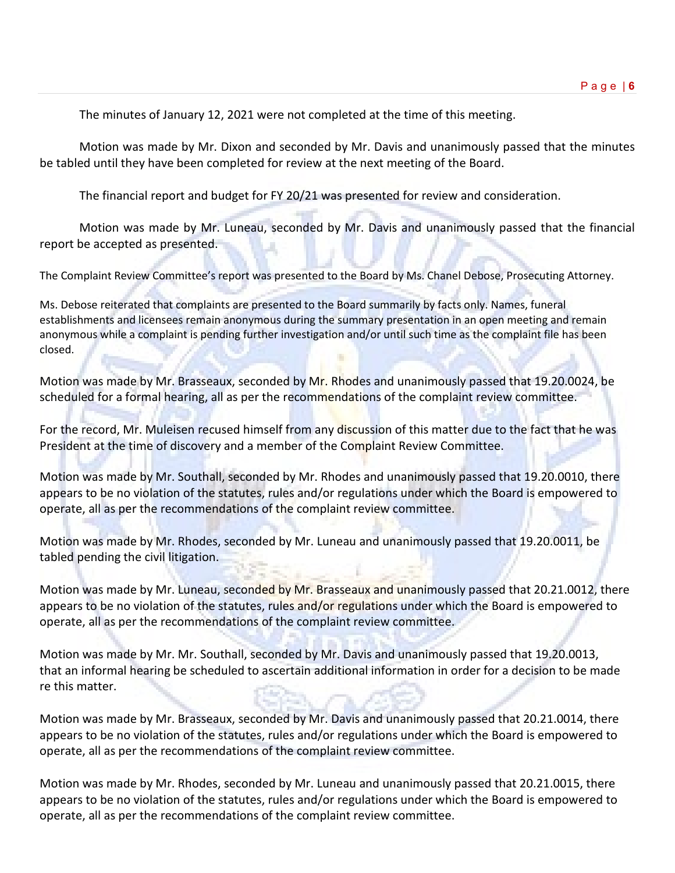The minutes of January 12, 2021 were not completed at the time of this meeting.

Motion was made by Mr. Dixon and seconded by Mr. Davis and unanimously passed that the minutes be tabled until they have been completed for review at the next meeting of the Board.

The financial report and budget for FY 20/21 was presented for review and consideration.

Motion was made by Mr. Luneau, seconded by Mr. Davis and unanimously passed that the financial report be accepted as presented.

The Complaint Review Committee's report was presented to the Board by Ms. Chanel Debose, Prosecuting Attorney.

Ms. Debose reiterated that complaints are presented to the Board summarily by facts only. Names, funeral establishments and licensees remain anonymous during the summary presentation in an open meeting and remain anonymous while a complaint is pending further investigation and/or until such time as the complaint file has been closed.

Motion was made by Mr. Brasseaux, seconded by Mr. Rhodes and unanimously passed that 19.20.0024, be scheduled for a formal hearing, all as per the recommendations of the complaint review committee.

For the record, Mr. Muleisen recused himself from any discussion of this matter due to the fact that he was President at the time of discovery and a member of the Complaint Review Committee.

Motion was made by Mr. Southall, seconded by Mr. Rhodes and unanimously passed that 19.20.0010, there appears to be no violation of the statutes, rules and/or regulations under which the Board is empowered to operate, all as per the recommendations of the complaint review committee.

Motion was made by Mr. Rhodes, seconded by Mr. Luneau and unanimously passed that 19.20.0011, be tabled pending the civil litigation.

Motion was made by Mr. Luneau, seconded by Mr. Brasseaux and unanimously passed that 20.21.0012, there appears to be no violation of the statutes, rules and/or regulations under which the Board is empowered to operate, all as per the recommendations of the complaint review committee.

Motion was made by Mr. Mr. Southall, seconded by Mr. Davis and unanimously passed that 19.20.0013, that an informal hearing be scheduled to ascertain additional information in order for a decision to be made re this matter.

Motion was made by Mr. Brasseaux, seconded by Mr. Davis and unanimously passed that 20.21.0014, there appears to be no violation of the statutes, rules and/or regulations under which the Board is empowered to operate, all as per the recommendations of the complaint review committee.

Motion was made by Mr. Rhodes, seconded by Mr. Luneau and unanimously passed that 20.21.0015, there appears to be no violation of the statutes, rules and/or regulations under which the Board is empowered to operate, all as per the recommendations of the complaint review committee.